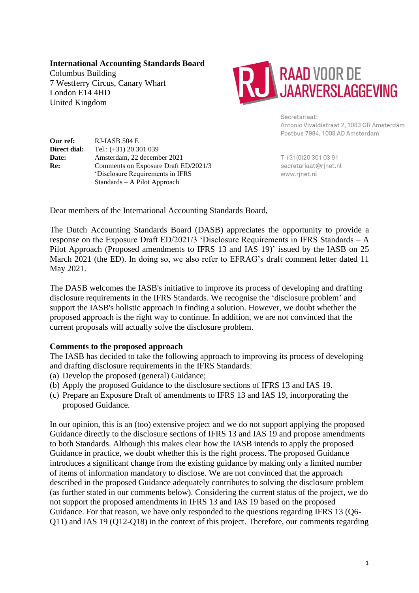**International Accounting Standards Board**

Columbus Building 7 Westferry Circus, Canary Wharf London E14 4HD United Kingdom



Secretariaat: Antonio Vivaldistraat 2, 1083 GR Amsterdam Postbus 7984, 1008 AD Amsterdam

**Our ref:** RJ-IASB 504 E **Direct dial:** Tel.: (+31) 20 301 039 **Date:** Amsterdam, 22 december 2021 **Re:** Comments on Exposure Draft ED/2021/3 'Disclosure Requirements in IFRS Standards – A Pilot Approach

T+31(0)203010391 secretariaat@rjnet.nl www.rjnet.nl

Dear members of the International Accounting Standards Board,

The Dutch Accounting Standards Board (DASB) appreciates the opportunity to provide a response on the Exposure Draft ED/2021/3 'Disclosure Requirements in IFRS Standards – A Pilot Approach (Proposed amendments to IFRS 13 and IAS 19)' issued by the IASB on 25 March 2021 (the ED). In doing so, we also refer to EFRAG's draft comment letter dated 11 May 2021.

The DASB welcomes the IASB's initiative to improve its process of developing and drafting disclosure requirements in the IFRS Standards. We recognise the 'disclosure problem' and support the IASB's holistic approach in finding a solution. However, we doubt whether the proposed approach is the right way to continue. In addition, we are not convinced that the current proposals will actually solve the disclosure problem.

## **Comments to the proposed approach**

The IASB has decided to take the following approach to improving its process of developing and drafting disclosure requirements in the IFRS Standards:

- (a) Develop the proposed (general) Guidance;
- (b) Apply the proposed Guidance to the disclosure sections of IFRS 13 and IAS 19.
- (c) Prepare an Exposure Draft of amendments to IFRS 13 and IAS 19, incorporating the proposed Guidance.

In our opinion, this is an (too) extensive project and we do not support applying the proposed Guidance directly to the disclosure sections of IFRS 13 and IAS 19 and propose amendments to both Standards. Although this makes clear how the IASB intends to apply the proposed Guidance in practice, we doubt whether this is the right process. The proposed Guidance introduces a significant change from the existing guidance by making only a limited number of items of information mandatory to disclose. We are not convinced that the approach described in the proposed Guidance adequately contributes to solving the disclosure problem (as further stated in our comments below). Considering the current status of the project, we do not support the proposed amendments in IFRS 13 and IAS 19 based on the proposed Guidance. For that reason, we have only responded to the questions regarding IFRS 13 (Q6- Q11) and IAS 19 (Q12-Q18) in the context of this project. Therefore, our comments regarding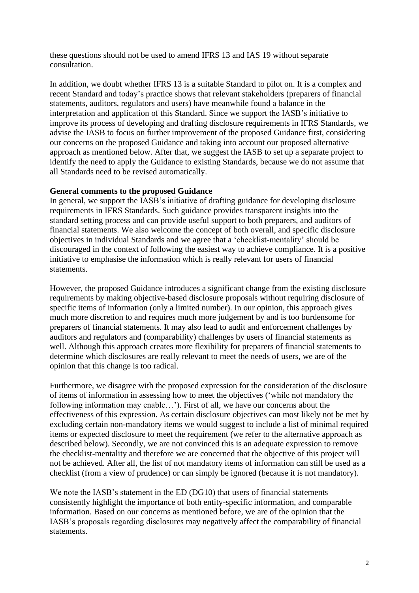these questions should not be used to amend IFRS 13 and IAS 19 without separate consultation.

In addition, we doubt whether IFRS 13 is a suitable Standard to pilot on. It is a complex and recent Standard and today's practice shows that relevant stakeholders (preparers of financial statements, auditors, regulators and users) have meanwhile found a balance in the interpretation and application of this Standard. Since we support the IASB's initiative to improve its process of developing and drafting disclosure requirements in IFRS Standards, we advise the IASB to focus on further improvement of the proposed Guidance first, considering our concerns on the proposed Guidance and taking into account our proposed alternative approach as mentioned below. After that, we suggest the IASB to set up a separate project to identify the need to apply the Guidance to existing Standards, because we do not assume that all Standards need to be revised automatically.

#### **General comments to the proposed Guidance**

In general, we support the IASB's initiative of drafting guidance for developing disclosure requirements in IFRS Standards. Such guidance provides transparent insights into the standard setting process and can provide useful support to both preparers, and auditors of financial statements. We also welcome the concept of both overall, and specific disclosure objectives in individual Standards and we agree that a 'checklist-mentality' should be discouraged in the context of following the easiest way to achieve compliance. It is a positive initiative to emphasise the information which is really relevant for users of financial statements.

However, the proposed Guidance introduces a significant change from the existing disclosure requirements by making objective-based disclosure proposals without requiring disclosure of specific items of information (only a limited number). In our opinion, this approach gives much more discretion to and requires much more judgement by and is too burdensome for preparers of financial statements. It may also lead to audit and enforcement challenges by auditors and regulators and (comparability) challenges by users of financial statements as well. Although this approach creates more flexibility for preparers of financial statements to determine which disclosures are really relevant to meet the needs of users, we are of the opinion that this change is too radical.

Furthermore, we disagree with the proposed expression for the consideration of the disclosure of items of information in assessing how to meet the objectives ('while not mandatory the following information may enable…'). First of all, we have our concerns about the effectiveness of this expression. As certain disclosure objectives can most likely not be met by excluding certain non-mandatory items we would suggest to include a list of minimal required items or expected disclosure to meet the requirement (we refer to the alternative approach as described below). Secondly, we are not convinced this is an adequate expression to remove the checklist-mentality and therefore we are concerned that the objective of this project will not be achieved. After all, the list of not mandatory items of information can still be used as a checklist (from a view of prudence) or can simply be ignored (because it is not mandatory).

We note the IASB's statement in the ED (DG10) that users of financial statements consistently highlight the importance of both entity-specific information, and comparable information. Based on our concerns as mentioned before, we are of the opinion that the IASB's proposals regarding disclosures may negatively affect the comparability of financial statements.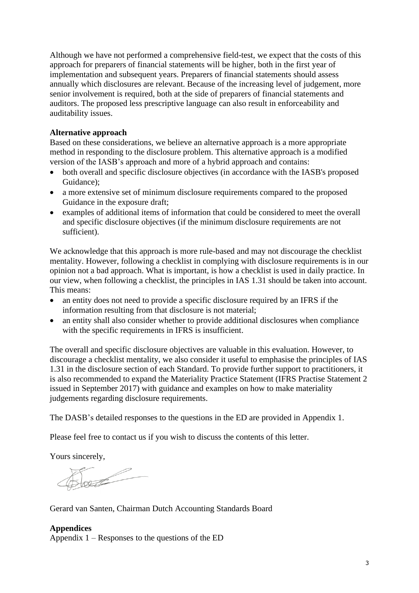Although we have not performed a comprehensive field-test, we expect that the costs of this approach for preparers of financial statements will be higher, both in the first year of implementation and subsequent years. Preparers of financial statements should assess annually which disclosures are relevant. Because of the increasing level of judgement, more senior involvement is required, both at the side of preparers of financial statements and auditors. The proposed less prescriptive language can also result in enforceability and auditability issues.

### **Alternative approach**

Based on these considerations, we believe an alternative approach is a more appropriate method in responding to the disclosure problem. This alternative approach is a modified version of the IASB's approach and more of a hybrid approach and contains:

- both overall and specific disclosure objectives (in accordance with the IASB's proposed Guidance);
- a more extensive set of minimum disclosure requirements compared to the proposed Guidance in the exposure draft;
- examples of additional items of information that could be considered to meet the overall and specific disclosure objectives (if the minimum disclosure requirements are not sufficient).

We acknowledge that this approach is more rule-based and may not discourage the checklist mentality. However, following a checklist in complying with disclosure requirements is in our opinion not a bad approach. What is important, is how a checklist is used in daily practice. In our view, when following a checklist, the principles in IAS 1.31 should be taken into account. This means:

- an entity does not need to provide a specific disclosure required by an IFRS if the information resulting from that disclosure is not material;
- an entity shall also consider whether to provide additional disclosures when compliance with the specific requirements in IFRS is insufficient.

The overall and specific disclosure objectives are valuable in this evaluation. However, to discourage a checklist mentality, we also consider it useful to emphasise the principles of IAS 1.31 in the disclosure section of each Standard. To provide further support to practitioners, it is also recommended to expand the Materiality Practice Statement (IFRS Practise Statement 2 issued in September 2017) with guidance and examples on how to make materiality judgements regarding disclosure requirements.

The DASB's detailed responses to the questions in the ED are provided in Appendix 1.

Please feel free to contact us if you wish to discuss the contents of this letter.

Yours sincerely,

Soul

Gerard van Santen, Chairman Dutch Accounting Standards Board

# **Appendices** Appendix  $1 -$ Responses to the questions of the ED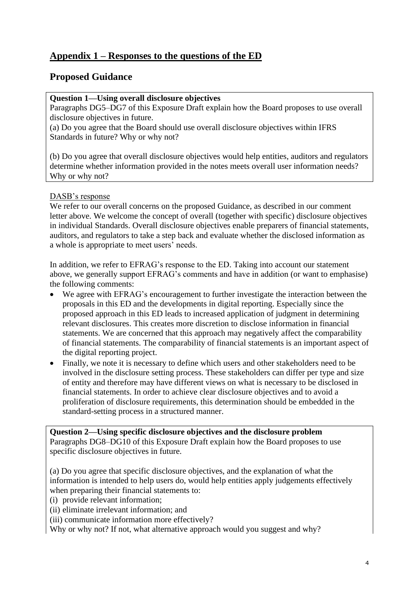# **Appendix 1 – Responses to the questions of the ED**

# **Proposed Guidance**

## **Question 1—Using overall disclosure objectives**

Paragraphs DG5–DG7 of this Exposure Draft explain how the Board proposes to use overall disclosure objectives in future.

(a) Do you agree that the Board should use overall disclosure objectives within IFRS Standards in future? Why or why not?

(b) Do you agree that overall disclosure objectives would help entities, auditors and regulators determine whether information provided in the notes meets overall user information needs? Why or why not?

#### DASB's response

We refer to our overall concerns on the proposed Guidance, as described in our comment letter above. We welcome the concept of overall (together with specific) disclosure objectives in individual Standards. Overall disclosure objectives enable preparers of financial statements, auditors, and regulators to take a step back and evaluate whether the disclosed information as a whole is appropriate to meet users' needs.

In addition, we refer to EFRAG's response to the ED. Taking into account our statement above, we generally support EFRAG's comments and have in addition (or want to emphasise) the following comments:

- We agree with EFRAG's encouragement to further investigate the interaction between the proposals in this ED and the developments in digital reporting. Especially since the proposed approach in this ED leads to increased application of judgment in determining relevant disclosures. This creates more discretion to disclose information in financial statements. We are concerned that this approach may negatively affect the comparability of financial statements. The comparability of financial statements is an important aspect of the digital reporting project.
- Finally, we note it is necessary to define which users and other stakeholders need to be involved in the disclosure setting process. These stakeholders can differ per type and size of entity and therefore may have different views on what is necessary to be disclosed in financial statements. In order to achieve clear disclosure objectives and to avoid a proliferation of disclosure requirements, this determination should be embedded in the standard-setting process in a structured manner.

#### **Question 2—Using specific disclosure objectives and the disclosure problem** Paragraphs DG8–DG10 of this Exposure Draft explain how the Board proposes to use specific disclosure objectives in future.

(a) Do you agree that specific disclosure objectives, and the explanation of what the information is intended to help users do, would help entities apply judgements effectively when preparing their financial statements to:

(i) provide relevant information;

- (ii) eliminate irrelevant information; and
- (iii) communicate information more effectively?

Why or why not? If not, what alternative approach would you suggest and why?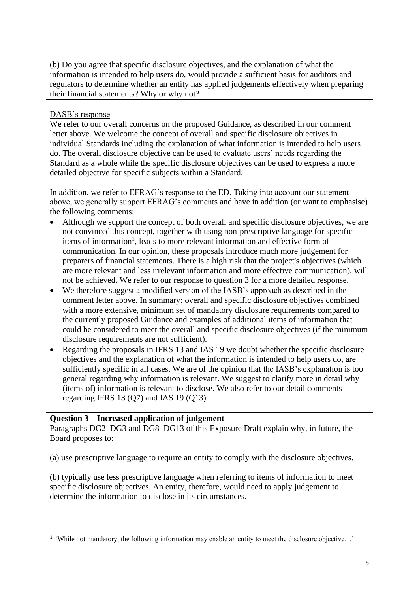(b) Do you agree that specific disclosure objectives, and the explanation of what the information is intended to help users do, would provide a sufficient basis for auditors and regulators to determine whether an entity has applied judgements effectively when preparing their financial statements? Why or why not?

## DASB's response

We refer to our overall concerns on the proposed Guidance, as described in our comment letter above. We welcome the concept of overall and specific disclosure objectives in individual Standards including the explanation of what information is intended to help users do. The overall disclosure objective can be used to evaluate users' needs regarding the Standard as a whole while the specific disclosure objectives can be used to express a more detailed objective for specific subjects within a Standard.

In addition, we refer to EFRAG's response to the ED. Taking into account our statement above, we generally support EFRAG's comments and have in addition (or want to emphasise) the following comments:

- Although we support the concept of both overall and specific disclosure objectives, we are not convinced this concept, together with using non-prescriptive language for specific items of information<sup>1</sup>, leads to more relevant information and effective form of communication. In our opinion, these proposals introduce much more judgement for preparers of financial statements. There is a high risk that the project's objectives (which are more relevant and less irrelevant information and more effective communication), will not be achieved. We refer to our response to question 3 for a more detailed response.
- We therefore suggest a modified version of the IASB's approach as described in the comment letter above. In summary: overall and specific disclosure objectives combined with a more extensive, minimum set of mandatory disclosure requirements compared to the currently proposed Guidance and examples of additional items of information that could be considered to meet the overall and specific disclosure objectives (if the minimum disclosure requirements are not sufficient).
- Regarding the proposals in IFRS 13 and IAS 19 we doubt whether the specific disclosure objectives and the explanation of what the information is intended to help users do, are sufficiently specific in all cases. We are of the opinion that the IASB's explanation is too general regarding why information is relevant. We suggest to clarify more in detail why (items of) information is relevant to disclose. We also refer to our detail comments regarding IFRS 13 (Q7) and IAS 19 (Q13).

## **Question 3—Increased application of judgement**

Paragraphs DG2–DG3 and DG8–DG13 of this Exposure Draft explain why, in future, the Board proposes to:

(a) use prescriptive language to require an entity to comply with the disclosure objectives.

(b) typically use less prescriptive language when referring to items of information to meet specific disclosure objectives. An entity, therefore, would need to apply judgement to determine the information to disclose in its circumstances.

<sup>&</sup>lt;sup>1</sup> 'While not mandatory, the following information may enable an entity to meet the disclosure objective...'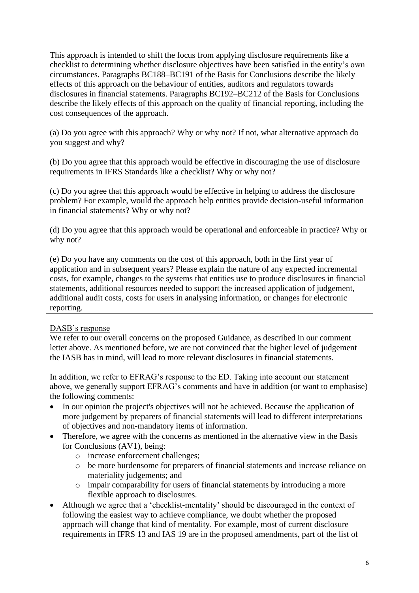This approach is intended to shift the focus from applying disclosure requirements like a checklist to determining whether disclosure objectives have been satisfied in the entity's own circumstances. Paragraphs BC188–BC191 of the Basis for Conclusions describe the likely effects of this approach on the behaviour of entities, auditors and regulators towards disclosures in financial statements. Paragraphs BC192–BC212 of the Basis for Conclusions describe the likely effects of this approach on the quality of financial reporting, including the cost consequences of the approach.

(a) Do you agree with this approach? Why or why not? If not, what alternative approach do you suggest and why?

(b) Do you agree that this approach would be effective in discouraging the use of disclosure requirements in IFRS Standards like a checklist? Why or why not?

(c) Do you agree that this approach would be effective in helping to address the disclosure problem? For example, would the approach help entities provide decision-useful information in financial statements? Why or why not?

(d) Do you agree that this approach would be operational and enforceable in practice? Why or why not?

(e) Do you have any comments on the cost of this approach, both in the first year of application and in subsequent years? Please explain the nature of any expected incremental costs, for example, changes to the systems that entities use to produce disclosures in financial statements, additional resources needed to support the increased application of judgement, additional audit costs, costs for users in analysing information, or changes for electronic reporting.

## DASB's response

We refer to our overall concerns on the proposed Guidance, as described in our comment letter above. As mentioned before, we are not convinced that the higher level of judgement the IASB has in mind, will lead to more relevant disclosures in financial statements.

In addition, we refer to EFRAG's response to the ED. Taking into account our statement above, we generally support EFRAG's comments and have in addition (or want to emphasise) the following comments:

- In our opinion the project's objectives will not be achieved. Because the application of more judgement by preparers of financial statements will lead to different interpretations of objectives and non-mandatory items of information.
- Therefore, we agree with the concerns as mentioned in the alternative view in the Basis for Conclusions (AV1), being:
	- o increase enforcement challenges;
	- o be more burdensome for preparers of financial statements and increase reliance on materiality judgements; and
	- o impair comparability for users of financial statements by introducing a more flexible approach to disclosures.
- Although we agree that a 'checklist-mentality' should be discouraged in the context of following the easiest way to achieve compliance, we doubt whether the proposed approach will change that kind of mentality. For example, most of current disclosure requirements in IFRS 13 and IAS 19 are in the proposed amendments, part of the list of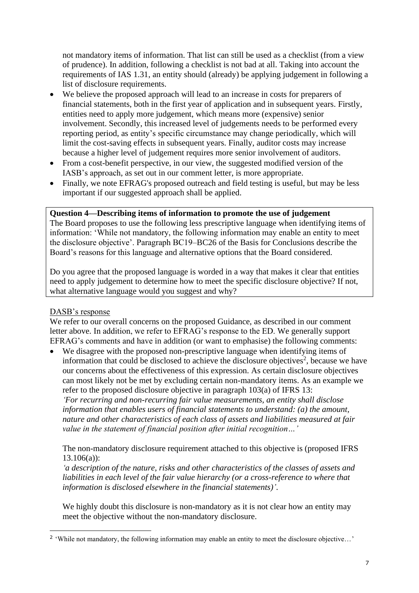not mandatory items of information. That list can still be used as a checklist (from a view of prudence). In addition, following a checklist is not bad at all. Taking into account the requirements of IAS 1.31, an entity should (already) be applying judgement in following a list of disclosure requirements.

- We believe the proposed approach will lead to an increase in costs for preparers of financial statements, both in the first year of application and in subsequent years. Firstly, entities need to apply more judgement, which means more (expensive) senior involvement. Secondly, this increased level of judgements needs to be performed every reporting period, as entity's specific circumstance may change periodically, which will limit the cost-saving effects in subsequent years. Finally, auditor costs may increase because a higher level of judgement requires more senior involvement of auditors.
- From a cost-benefit perspective, in our view, the suggested modified version of the IASB's approach, as set out in our comment letter, is more appropriate.
- Finally, we note EFRAG's proposed outreach and field testing is useful, but may be less important if our suggested approach shall be applied.

#### **Question 4—Describing items of information to promote the use of judgement**

The Board proposes to use the following less prescriptive language when identifying items of information: 'While not mandatory, the following information may enable an entity to meet the disclosure objective'. Paragraph BC19–BC26 of the Basis for Conclusions describe the Board's reasons for this language and alternative options that the Board considered.

Do you agree that the proposed language is worded in a way that makes it clear that entities need to apply judgement to determine how to meet the specific disclosure objective? If not, what alternative language would you suggest and why?

## DASB's response

We refer to our overall concerns on the proposed Guidance, as described in our comment letter above. In addition, we refer to EFRAG's response to the ED. We generally support EFRAG's comments and have in addition (or want to emphasise) the following comments:

• We disagree with the proposed non-prescriptive language when identifying items of information that could be disclosed to achieve the disclosure objectives<sup>2</sup>, because we have our concerns about the effectiveness of this expression. As certain disclosure objectives can most likely not be met by excluding certain non-mandatory items. As an example we refer to the proposed disclosure objective in paragraph 103(a) of IFRS 13: *'For recurring and non-recurring fair value measurements, an entity shall disclose information that enables users of financial statements to understand: (a) the amount, nature and other characteristics of each class of assets and liabilities measured at fair value in the statement of financial position after initial recognition…'*

The non-mandatory disclosure requirement attached to this objective is (proposed IFRS  $13.106(a)$ :

*'a description of the nature, risks and other characteristics of the classes of assets and liabilities in each level of the fair value hierarchy (or a cross-reference to where that information is disclosed elsewhere in the financial statements)'*.

We highly doubt this disclosure is non-mandatory as it is not clear how an entity may meet the objective without the non-mandatory disclosure.

<sup>&</sup>lt;sup>2</sup> 'While not mandatory, the following information may enable an entity to meet the disclosure objective...'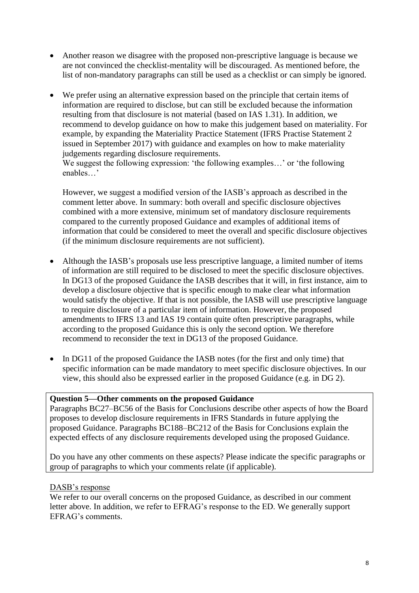- Another reason we disagree with the proposed non-prescriptive language is because we are not convinced the checklist-mentality will be discouraged. As mentioned before, the list of non-mandatory paragraphs can still be used as a checklist or can simply be ignored.
- We prefer using an alternative expression based on the principle that certain items of information are required to disclose, but can still be excluded because the information resulting from that disclosure is not material (based on IAS 1.31). In addition, we recommend to develop guidance on how to make this judgement based on materiality. For example, by expanding the Materiality Practice Statement (IFRS Practise Statement 2 issued in September 2017) with guidance and examples on how to make materiality judgements regarding disclosure requirements.

We suggest the following expression: 'the following examples...' or 'the following enables…'

However, we suggest a modified version of the IASB's approach as described in the comment letter above. In summary: both overall and specific disclosure objectives combined with a more extensive, minimum set of mandatory disclosure requirements compared to the currently proposed Guidance and examples of additional items of information that could be considered to meet the overall and specific disclosure objectives (if the minimum disclosure requirements are not sufficient).

- Although the IASB's proposals use less prescriptive language, a limited number of items of information are still required to be disclosed to meet the specific disclosure objectives. In DG13 of the proposed Guidance the IASB describes that it will, in first instance, aim to develop a disclosure objective that is specific enough to make clear what information would satisfy the objective. If that is not possible, the IASB will use prescriptive language to require disclosure of a particular item of information. However, the proposed amendments to IFRS 13 and IAS 19 contain quite often prescriptive paragraphs, while according to the proposed Guidance this is only the second option. We therefore recommend to reconsider the text in DG13 of the proposed Guidance.
- In DG11 of the proposed Guidance the IASB notes (for the first and only time) that specific information can be made mandatory to meet specific disclosure objectives. In our view, this should also be expressed earlier in the proposed Guidance (e.g. in DG 2).

#### **Question 5—Other comments on the proposed Guidance**

Paragraphs BC27–BC56 of the Basis for Conclusions describe other aspects of how the Board proposes to develop disclosure requirements in IFRS Standards in future applying the proposed Guidance. Paragraphs BC188–BC212 of the Basis for Conclusions explain the expected effects of any disclosure requirements developed using the proposed Guidance.

Do you have any other comments on these aspects? Please indicate the specific paragraphs or group of paragraphs to which your comments relate (if applicable).

#### DASB's response

We refer to our overall concerns on the proposed Guidance, as described in our comment letter above. In addition, we refer to EFRAG's response to the ED. We generally support EFRAG's comments.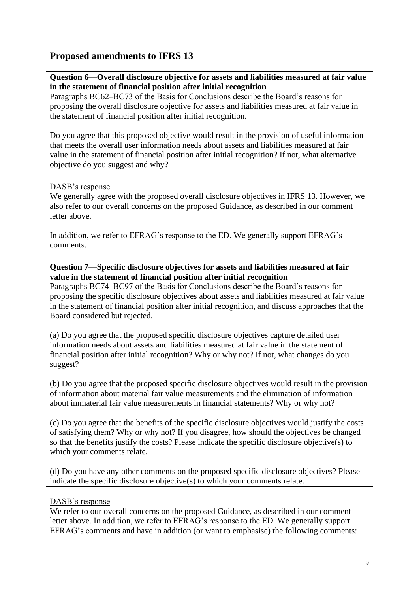# **Proposed amendments to IFRS 13**

## **Question 6—Overall disclosure objective for assets and liabilities measured at fair value in the statement of financial position after initial recognition**

Paragraphs BC62–BC73 of the Basis for Conclusions describe the Board's reasons for proposing the overall disclosure objective for assets and liabilities measured at fair value in the statement of financial position after initial recognition.

Do you agree that this proposed objective would result in the provision of useful information that meets the overall user information needs about assets and liabilities measured at fair value in the statement of financial position after initial recognition? If not, what alternative objective do you suggest and why?

## DASB's response

We generally agree with the proposed overall disclosure objectives in IFRS 13. However, we also refer to our overall concerns on the proposed Guidance, as described in our comment letter above.

In addition, we refer to EFRAG's response to the ED. We generally support EFRAG's comments.

## **Question 7—Specific disclosure objectives for assets and liabilities measured at fair value in the statement of financial position after initial recognition**

Paragraphs BC74–BC97 of the Basis for Conclusions describe the Board's reasons for proposing the specific disclosure objectives about assets and liabilities measured at fair value in the statement of financial position after initial recognition, and discuss approaches that the Board considered but rejected.

(a) Do you agree that the proposed specific disclosure objectives capture detailed user information needs about assets and liabilities measured at fair value in the statement of financial position after initial recognition? Why or why not? If not, what changes do you suggest?

(b) Do you agree that the proposed specific disclosure objectives would result in the provision of information about material fair value measurements and the elimination of information about immaterial fair value measurements in financial statements? Why or why not?

(c) Do you agree that the benefits of the specific disclosure objectives would justify the costs of satisfying them? Why or why not? If you disagree, how should the objectives be changed so that the benefits justify the costs? Please indicate the specific disclosure objective(s) to which your comments relate.

(d) Do you have any other comments on the proposed specific disclosure objectives? Please indicate the specific disclosure objective(s) to which your comments relate.

## DASB's response

We refer to our overall concerns on the proposed Guidance, as described in our comment letter above. In addition, we refer to EFRAG's response to the ED. We generally support EFRAG's comments and have in addition (or want to emphasise) the following comments: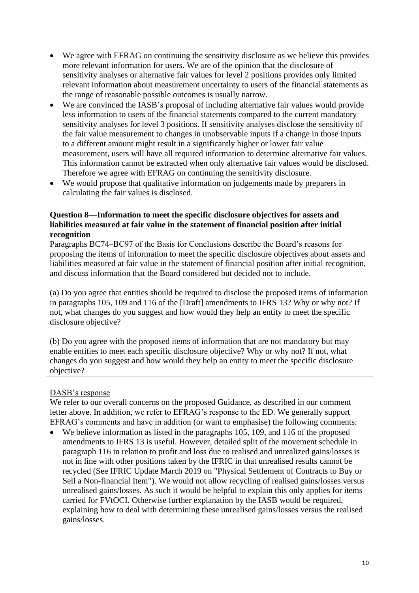- We agree with EFRAG on continuing the sensitivity disclosure as we believe this provides more relevant information for users. We are of the opinion that the disclosure of sensitivity analyses or alternative fair values for level 2 positions provides only limited relevant information about measurement uncertainty to users of the financial statements as the range of reasonable possible outcomes is usually narrow.
- We are convinced the IASB's proposal of including alternative fair values would provide less information to users of the financial statements compared to the current mandatory sensitivity analyses for level 3 positions. If sensitivity analyses disclose the sensitivity of the fair value measurement to changes in unobservable inputs if a change in those inputs to a different amount might result in a significantly higher or lower fair value measurement, users will have all required information to determine alternative fair values. This information cannot be extracted when only alternative fair values would be disclosed. Therefore we agree with EFRAG on continuing the sensitivity disclosure.
- We would propose that qualitative information on judgements made by preparers in calculating the fair values is disclosed.

#### **Question 8—Information to meet the specific disclosure objectives for assets and liabilities measured at fair value in the statement of financial position after initial recognition**

Paragraphs BC74–BC97 of the Basis for Conclusions describe the Board's reasons for proposing the items of information to meet the specific disclosure objectives about assets and liabilities measured at fair value in the statement of financial position after initial recognition, and discuss information that the Board considered but decided not to include.

(a) Do you agree that entities should be required to disclose the proposed items of information in paragraphs 105, 109 and 116 of the [Draft] amendments to IFRS 13? Why or why not? If not, what changes do you suggest and how would they help an entity to meet the specific disclosure objective?

(b) Do you agree with the proposed items of information that are not mandatory but may enable entities to meet each specific disclosure objective? Why or why not? If not, what changes do you suggest and how would they help an entity to meet the specific disclosure objective?

## DASB's response

We refer to our overall concerns on the proposed Guidance, as described in our comment letter above. In addition, we refer to EFRAG's response to the ED. We generally support EFRAG's comments and have in addition (or want to emphasise) the following comments:

• We believe information as listed in the paragraphs 105, 109, and 116 of the proposed amendments to IFRS 13 is useful. However, detailed split of the movement schedule in paragraph 116 in relation to profit and loss due to realised and unrealized gains/losses is not in line with other positions taken by the IFRIC in that unrealised results cannot be recycled (See IFRIC Update March 2019 on "Physical Settlement of Contracts to Buy or Sell a Non-financial Item"). We would not allow recycling of realised gains/losses versus unrealised gains/losses. As such it would be helpful to explain this only applies for items carried for FVtOCI. Otherwise further explanation by the IASB would be required, explaining how to deal with determining these unrealised gains/losses versus the realised gains/losses.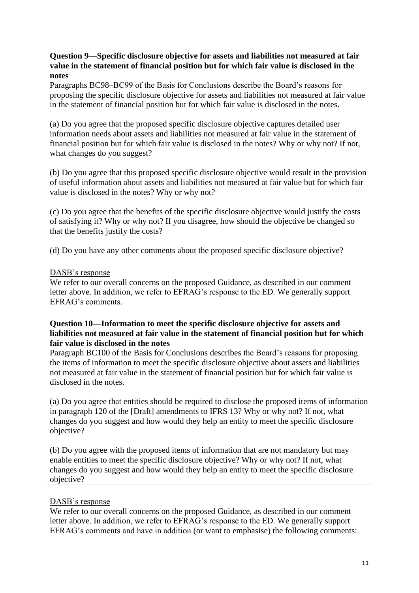**Question 9—Specific disclosure objective for assets and liabilities not measured at fair value in the statement of financial position but for which fair value is disclosed in the notes**

Paragraphs BC98–BC99 of the Basis for Conclusions describe the Board's reasons for proposing the specific disclosure objective for assets and liabilities not measured at fair value in the statement of financial position but for which fair value is disclosed in the notes.

(a) Do you agree that the proposed specific disclosure objective captures detailed user information needs about assets and liabilities not measured at fair value in the statement of financial position but for which fair value is disclosed in the notes? Why or why not? If not, what changes do you suggest?

(b) Do you agree that this proposed specific disclosure objective would result in the provision of useful information about assets and liabilities not measured at fair value but for which fair value is disclosed in the notes? Why or why not?

(c) Do you agree that the benefits of the specific disclosure objective would justify the costs of satisfying it? Why or why not? If you disagree, how should the objective be changed so that the benefits justify the costs?

(d) Do you have any other comments about the proposed specific disclosure objective?

#### DASB's response

We refer to our overall concerns on the proposed Guidance, as described in our comment letter above. In addition, we refer to EFRAG's response to the ED. We generally support EFRAG's comments.

### **Question 10—Information to meet the specific disclosure objective for assets and liabilities not measured at fair value in the statement of financial position but for which fair value is disclosed in the notes**

Paragraph BC100 of the Basis for Conclusions describes the Board's reasons for proposing the items of information to meet the specific disclosure objective about assets and liabilities not measured at fair value in the statement of financial position but for which fair value is disclosed in the notes.

(a) Do you agree that entities should be required to disclose the proposed items of information in paragraph 120 of the [Draft] amendments to IFRS 13? Why or why not? If not, what changes do you suggest and how would they help an entity to meet the specific disclosure objective?

(b) Do you agree with the proposed items of information that are not mandatory but may enable entities to meet the specific disclosure objective? Why or why not? If not, what changes do you suggest and how would they help an entity to meet the specific disclosure objective?

## DASB's response

We refer to our overall concerns on the proposed Guidance, as described in our comment letter above. In addition, we refer to EFRAG's response to the ED. We generally support EFRAG's comments and have in addition (or want to emphasise) the following comments: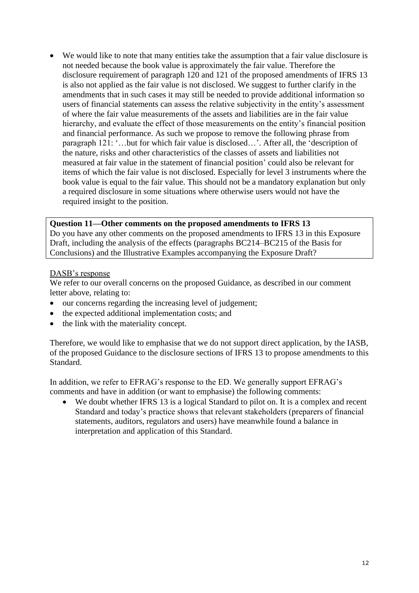• We would like to note that many entities take the assumption that a fair value disclosure is not needed because the book value is approximately the fair value. Therefore the disclosure requirement of paragraph 120 and 121 of the proposed amendments of IFRS 13 is also not applied as the fair value is not disclosed. We suggest to further clarify in the amendments that in such cases it may still be needed to provide additional information so users of financial statements can assess the relative subjectivity in the entity's assessment of where the fair value measurements of the assets and liabilities are in the fair value hierarchy, and evaluate the effect of those measurements on the entity's financial position and financial performance. As such we propose to remove the following phrase from paragraph 121: '…but for which fair value is disclosed…'. After all, the 'description of the nature, risks and other characteristics of the classes of assets and liabilities not measured at fair value in the statement of financial position' could also be relevant for items of which the fair value is not disclosed. Especially for level 3 instruments where the book value is equal to the fair value. This should not be a mandatory explanation but only a required disclosure in some situations where otherwise users would not have the required insight to the position.

#### **Question 11—Other comments on the proposed amendments to IFRS 13**

Do you have any other comments on the proposed amendments to IFRS 13 in this Exposure Draft, including the analysis of the effects (paragraphs BC214–BC215 of the Basis for Conclusions) and the Illustrative Examples accompanying the Exposure Draft?

#### DASB's response

We refer to our overall concerns on the proposed Guidance, as described in our comment letter above, relating to:

- our concerns regarding the increasing level of judgement;
- the expected additional implementation costs; and
- the link with the materiality concept.

Therefore, we would like to emphasise that we do not support direct application, by the IASB, of the proposed Guidance to the disclosure sections of IFRS 13 to propose amendments to this Standard.

In addition, we refer to EFRAG's response to the ED. We generally support EFRAG's comments and have in addition (or want to emphasise) the following comments:

We doubt whether IFRS 13 is a logical Standard to pilot on. It is a complex and recent Standard and today's practice shows that relevant stakeholders (preparers of financial statements, auditors, regulators and users) have meanwhile found a balance in interpretation and application of this Standard.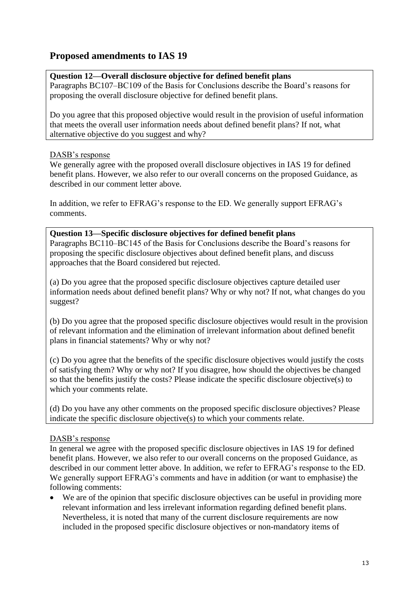# **Proposed amendments to IAS 19**

## **Question 12—Overall disclosure objective for defined benefit plans**

Paragraphs BC107–BC109 of the Basis for Conclusions describe the Board's reasons for proposing the overall disclosure objective for defined benefit plans.

Do you agree that this proposed objective would result in the provision of useful information that meets the overall user information needs about defined benefit plans? If not, what alternative objective do you suggest and why?

## DASB's response

We generally agree with the proposed overall disclosure objectives in IAS 19 for defined benefit plans. However, we also refer to our overall concerns on the proposed Guidance, as described in our comment letter above.

In addition, we refer to EFRAG's response to the ED. We generally support EFRAG's comments.

## **Question 13—Specific disclosure objectives for defined benefit plans**

Paragraphs BC110–BC145 of the Basis for Conclusions describe the Board's reasons for proposing the specific disclosure objectives about defined benefit plans, and discuss approaches that the Board considered but rejected.

(a) Do you agree that the proposed specific disclosure objectives capture detailed user information needs about defined benefit plans? Why or why not? If not, what changes do you suggest?

(b) Do you agree that the proposed specific disclosure objectives would result in the provision of relevant information and the elimination of irrelevant information about defined benefit plans in financial statements? Why or why not?

(c) Do you agree that the benefits of the specific disclosure objectives would justify the costs of satisfying them? Why or why not? If you disagree, how should the objectives be changed so that the benefits justify the costs? Please indicate the specific disclosure objective(s) to which your comments relate.

(d) Do you have any other comments on the proposed specific disclosure objectives? Please indicate the specific disclosure objective(s) to which your comments relate.

## DASB's response

In general we agree with the proposed specific disclosure objectives in IAS 19 for defined benefit plans. However, we also refer to our overall concerns on the proposed Guidance, as described in our comment letter above. In addition, we refer to EFRAG's response to the ED. We generally support EFRAG's comments and have in addition (or want to emphasise) the following comments:

• We are of the opinion that specific disclosure objectives can be useful in providing more relevant information and less irrelevant information regarding defined benefit plans. Nevertheless, it is noted that many of the current disclosure requirements are now included in the proposed specific disclosure objectives or non-mandatory items of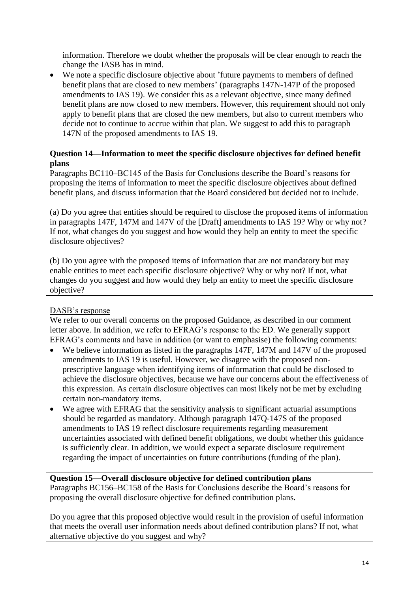information. Therefore we doubt whether the proposals will be clear enough to reach the change the IASB has in mind.

• We note a specific disclosure objective about 'future payments to members of defined benefit plans that are closed to new members' (paragraphs 147N-147P of the proposed amendments to IAS 19). We consider this as a relevant objective, since many defined benefit plans are now closed to new members. However, this requirement should not only apply to benefit plans that are closed the new members, but also to current members who decide not to continue to accrue within that plan. We suggest to add this to paragraph 147N of the proposed amendments to IAS 19.

## **Question 14—Information to meet the specific disclosure objectives for defined benefit plans**

Paragraphs BC110–BC145 of the Basis for Conclusions describe the Board's reasons for proposing the items of information to meet the specific disclosure objectives about defined benefit plans, and discuss information that the Board considered but decided not to include.

(a) Do you agree that entities should be required to disclose the proposed items of information in paragraphs 147F, 147M and 147V of the [Draft] amendments to IAS 19? Why or why not? If not, what changes do you suggest and how would they help an entity to meet the specific disclosure objectives?

(b) Do you agree with the proposed items of information that are not mandatory but may enable entities to meet each specific disclosure objective? Why or why not? If not, what changes do you suggest and how would they help an entity to meet the specific disclosure objective?

# DASB's response

We refer to our overall concerns on the proposed Guidance, as described in our comment letter above. In addition, we refer to EFRAG's response to the ED. We generally support EFRAG's comments and have in addition (or want to emphasise) the following comments:

- We believe information as listed in the paragraphs 147F, 147M and 147V of the proposed amendments to IAS 19 is useful. However, we disagree with the proposed nonprescriptive language when identifying items of information that could be disclosed to achieve the disclosure objectives, because we have our concerns about the effectiveness of this expression. As certain disclosure objectives can most likely not be met by excluding certain non-mandatory items.
- We agree with EFRAG that the sensitivity analysis to significant actuarial assumptions should be regarded as mandatory. Although paragraph 147Q-147S of the proposed amendments to IAS 19 reflect disclosure requirements regarding measurement uncertainties associated with defined benefit obligations, we doubt whether this guidance is sufficiently clear. In addition, we would expect a separate disclosure requirement regarding the impact of uncertainties on future contributions (funding of the plan).

# **Question 15—Overall disclosure objective for defined contribution plans**

Paragraphs BC156–BC158 of the Basis for Conclusions describe the Board's reasons for proposing the overall disclosure objective for defined contribution plans.

Do you agree that this proposed objective would result in the provision of useful information that meets the overall user information needs about defined contribution plans? If not, what alternative objective do you suggest and why?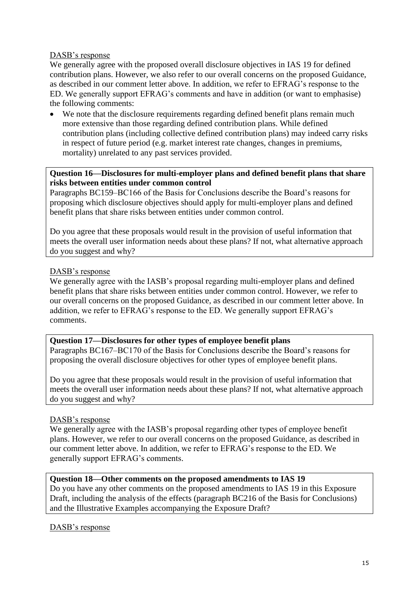## DASB's response

We generally agree with the proposed overall disclosure objectives in IAS 19 for defined contribution plans. However, we also refer to our overall concerns on the proposed Guidance, as described in our comment letter above. In addition, we refer to EFRAG's response to the ED. We generally support EFRAG's comments and have in addition (or want to emphasise) the following comments:

• We note that the disclosure requirements regarding defined benefit plans remain much more extensive than those regarding defined contribution plans. While defined contribution plans (including collective defined contribution plans) may indeed carry risks in respect of future period (e.g. market interest rate changes, changes in premiums, mortality) unrelated to any past services provided.

# **Question 16—Disclosures for multi-employer plans and defined benefit plans that share risks between entities under common control**

Paragraphs BC159–BC166 of the Basis for Conclusions describe the Board's reasons for proposing which disclosure objectives should apply for multi-employer plans and defined benefit plans that share risks between entities under common control.

Do you agree that these proposals would result in the provision of useful information that meets the overall user information needs about these plans? If not, what alternative approach do you suggest and why?

## DASB's response

We generally agree with the IASB's proposal regarding multi-employer plans and defined benefit plans that share risks between entities under common control. However, we refer to our overall concerns on the proposed Guidance, as described in our comment letter above. In addition, we refer to EFRAG's response to the ED. We generally support EFRAG's comments.

## **Question 17—Disclosures for other types of employee benefit plans**

Paragraphs BC167–BC170 of the Basis for Conclusions describe the Board's reasons for proposing the overall disclosure objectives for other types of employee benefit plans.

Do you agree that these proposals would result in the provision of useful information that meets the overall user information needs about these plans? If not, what alternative approach do you suggest and why?

## DASB's response

We generally agree with the IASB's proposal regarding other types of employee benefit plans. However, we refer to our overall concerns on the proposed Guidance, as described in our comment letter above. In addition, we refer to EFRAG's response to the ED. We generally support EFRAG's comments.

## **Question 18—Other comments on the proposed amendments to IAS 19**

Do you have any other comments on the proposed amendments to IAS 19 in this Exposure Draft, including the analysis of the effects (paragraph BC216 of the Basis for Conclusions) and the Illustrative Examples accompanying the Exposure Draft?

DASB's response